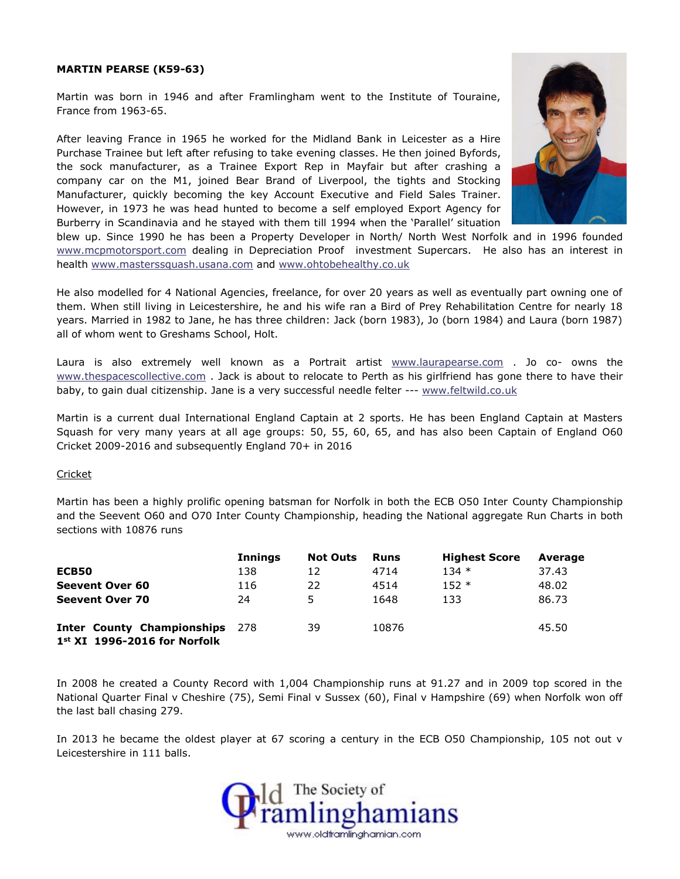## **MARTIN PEARSE (K59-63)**

Martin was born in 1946 and after Framlingham went to the Institute of Touraine, France from 1963-65.

After leaving France in 1965 he worked for the Midland Bank in Leicester as a Hire Purchase Trainee but left after refusing to take evening classes. He then joined Byfords, the sock manufacturer, as a Trainee Export Rep in Mayfair but after crashing a company car on the M1, joined Bear Brand of Liverpool, the tights and Stocking Manufacturer, quickly becoming the key Account Executive and Field Sales Trainer. However, in 1973 he was head hunted to become a self employed Export Agency for Burberry in Scandinavia and he stayed with them till 1994 when the 'Parallel' situation



blew up. Since 1990 he has been a Property Developer in North/ North West Norfolk and in 1996 founded [www.mcpmotorsport.com](http://www.mcpmotorsport.com/) dealing in Depreciation Proof investment Supercars. He also has an interest in health [www.masterssquash.usana.com](http://www.masterssquash.usana.com/) and [www.ohtobehealthy.co.uk](http://www.ohtobehealthy.co.uk/)

He also modelled for 4 National Agencies, freelance, for over 20 years as well as eventually part owning one of them. When still living in Leicestershire, he and his wife ran a Bird of Prey Rehabilitation Centre for nearly 18 years. Married in 1982 to Jane, he has three children: Jack (born 1983), Jo (born 1984) and Laura (born 1987) all of whom went to Greshams School, Holt.

Laura is also extremely well known as a Portrait artist [www.laurapearse.com](http://www.laurapearse.com/) . Jo co- owns the [www.thespacescollective.com](http://www.thespacescollective.com/) . Jack is about to relocate to Perth as his girlfriend has gone there to have their baby, to gain dual citizenship. Jane is a very successful needle felter --- [www.feltwild.co.uk](http://www.feltwild.co.uk/)

Martin is a current dual International England Captain at 2 sports. He has been England Captain at Masters Squash for very many years at all age groups: 50, 55, 60, 65, and has also been Captain of England O60 Cricket 2009-2016 and subsequently England 70+ in 2016

## Cricket

Martin has been a highly prolific opening batsman for Norfolk in both the ECB O50 Inter County Championship and the Seevent O60 and O70 Inter County Championship, heading the National aggregate Run Charts in both sections with 10876 runs

|                                                                       | <b>Innings</b> | <b>Not Outs</b> | <b>Runs</b> | <b>Highest Score</b> | Average |
|-----------------------------------------------------------------------|----------------|-----------------|-------------|----------------------|---------|
| ECB50                                                                 | 138            | 12              | 4714        | $134*$               | 37.43   |
| <b>Seevent Over 60</b>                                                | 116            | 22              | 4514        | $152 *$              | 48.02   |
| <b>Seevent Over 70</b>                                                | 24             | 5               | 1648        | 133                  | 86.73   |
| <b>Inter County Championships</b><br>$1st$ XI $1996-2016$ for Norfolk | 278            | 39              | 10876       |                      | 45.50   |

In 2008 he created a County Record with 1,004 Championship runs at 91.27 and in 2009 top scored in the National Quarter Final v Cheshire (75), Semi Final v Sussex (60), Final v Hampshire (69) when Norfolk won off the last ball chasing 279.

In 2013 he became the oldest player at 67 scoring a century in the ECB O50 Championship, 105 not out v Leicestershire in 111 balls.

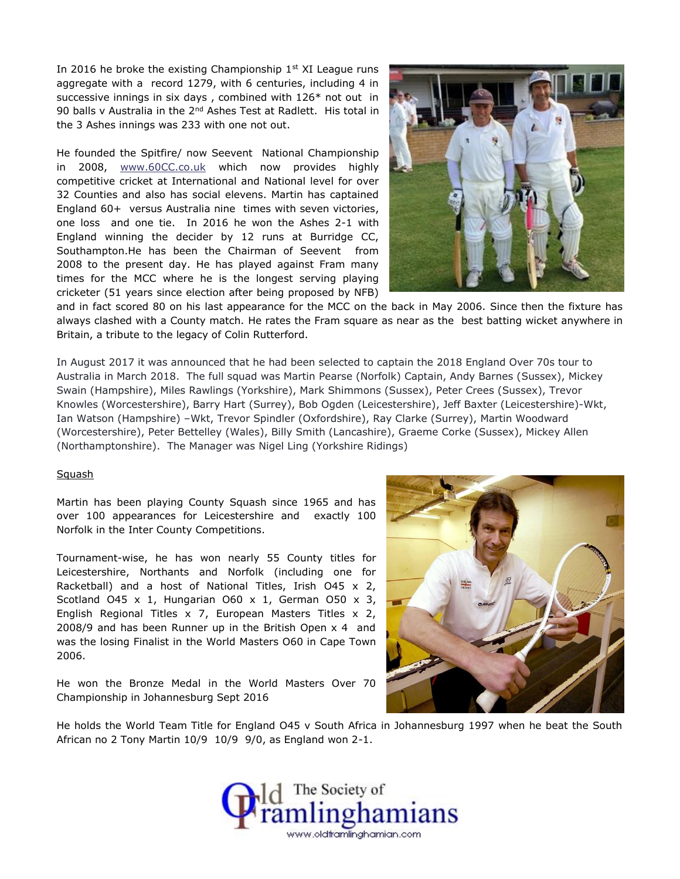In 2016 he broke the existing Championship  $1<sup>st</sup>$  XI League runs aggregate with a record 1279, with 6 centuries, including 4 in successive innings in six days , combined with 126\* not out in 90 balls v Australia in the 2<sup>nd</sup> Ashes Test at Radlett. His total in the 3 Ashes innings was 233 with one not out.

He founded the Spitfire/ now Seevent National Championship in 2008, [www.60CC.co.uk](http://www.60cc.co.uk/) which now provides highly competitive cricket at International and National level for over 32 Counties and also has social elevens. Martin has captained England 60+ versus Australia nine times with seven victories, one loss and one tie. In 2016 he won the Ashes 2-1 with England winning the decider by 12 runs at Burridge CC, Southampton.He has been the Chairman of Seevent from 2008 to the present day. He has played against Fram many times for the MCC where he is the longest serving playing cricketer (51 years since election after being proposed by NFB)



and in fact scored 80 on his last appearance for the MCC on the back in May 2006. Since then the fixture has always clashed with a County match. He rates the Fram square as near as the best batting wicket anywhere in Britain, a tribute to the legacy of Colin Rutterford.

In August 2017 it was announced that he had been selected to captain the 2018 England Over 70s tour to Australia in March 2018. The full squad was Martin Pearse (Norfolk) Captain, Andy Barnes (Sussex), Mickey Swain (Hampshire), Miles Rawlings (Yorkshire), Mark Shimmons (Sussex), Peter Crees (Sussex), Trevor Knowles (Worcestershire), Barry Hart (Surrey), Bob Ogden (Leicestershire), Jeff Baxter (Leicestershire)-Wkt, Ian Watson (Hampshire) –Wkt, Trevor Spindler (Oxfordshire), Ray Clarke (Surrey), Martin Woodward (Worcestershire), Peter Bettelley (Wales), Billy Smith (Lancashire), Graeme Corke (Sussex), Mickey Allen (Northamptonshire). The Manager was Nigel Ling (Yorkshire Ridings)

## Squash

Martin has been playing County Squash since 1965 and has over 100 appearances for Leicestershire and exactly 100 Norfolk in the Inter County Competitions.

Tournament-wise, he has won nearly 55 County titles for Leicestershire, Northants and Norfolk (including one for Racketball) and a host of National Titles, Irish O45 x 2, Scotland O45  $\times$  1, Hungarian O60  $\times$  1, German O50  $\times$  3, English Regional Titles x 7, European Masters Titles x 2, 2008/9 and has been Runner up in the British Open x 4 and was the losing Finalist in the World Masters O60 in Cape Town 2006.

He won the Bronze Medal in the World Masters Over 70 Championship in Johannesburg Sept 2016



He holds the World Team Title for England O45 v South Africa in Johannesburg 1997 when he beat the South African no 2 Tony Martin 10/9 10/9 9/0, as England won 2-1.